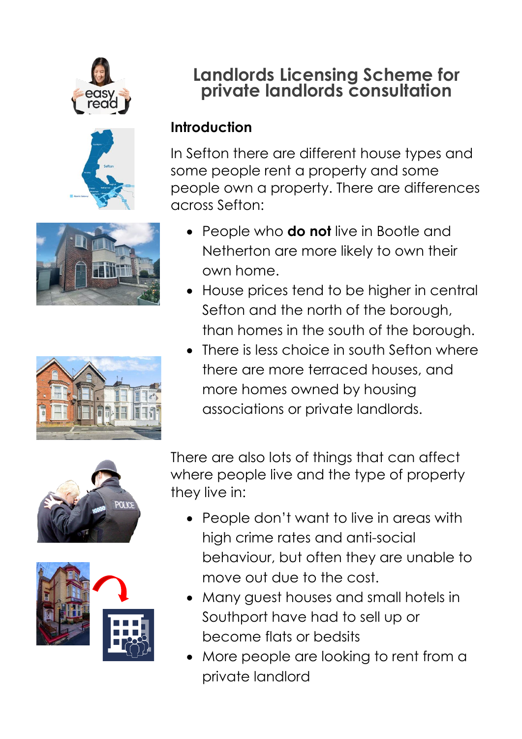







# **Landlords Licensing Scheme for private landlords consultation**

#### **Introduction**

In Sefton there are different house types and some people rent a property and some people own a property. There are differences across Sefton:

- People who **do not** live in Bootle and Netherton are more likely to own their own home.
- House prices tend to be higher in central Sefton and the north of the borough, than homes in the south of the borough.
- There is less choice in south Sefton where there are more terraced houses, and more homes owned by housing associations or private landlords.





There are also lots of things that can affect where people live and the type of property they live in:

- People don't want to live in areas with high crime rates and anti-social behaviour, but often they are unable to move out due to the cost.
- Many guest houses and small hotels in Southport have had to sell up or become flats or bedsits
- More people are looking to rent from a private landlord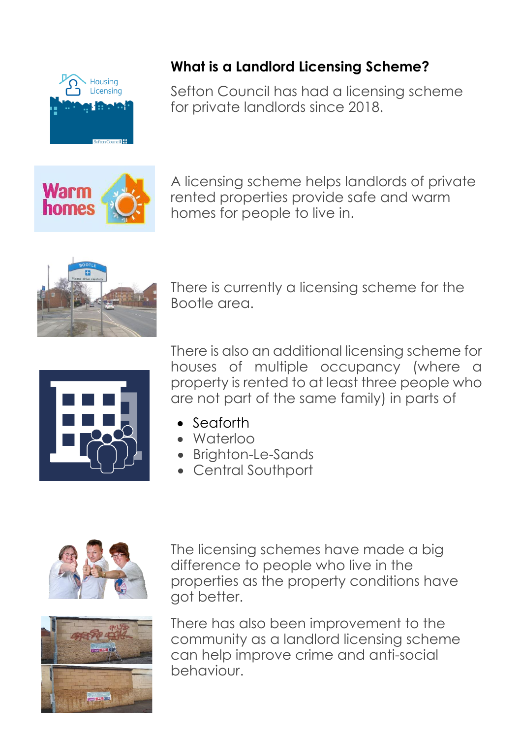

### **What is a Landlord Licensing Scheme?**

Sefton Council has had a licensing scheme for private landlords since 2018.

**Warm** homes

A licensing scheme helps landlords of private rented properties provide safe and warm homes for people to live in.



There is currently a licensing scheme for the Bootle area.



There is also an additional licensing scheme for houses of multiple occupancy (where a property is rented to at least three people who are not part of the same family) in parts of

- Seaforth
- Waterloo
- Brighton-Le-Sands
- **Central Southport**



The licensing schemes have made a big difference to people who live in the properties as the property conditions have got better.



There has also been improvement to the community as a landlord licensing scheme can help improve crime and anti-social behaviour.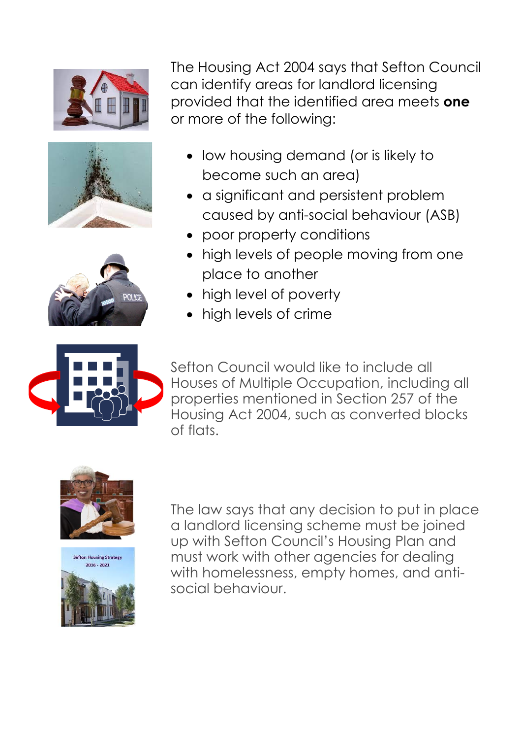





The Housing Act 2004 says that Sefton Council can identify areas for landlord licensing provided that the identified area meets **one** or more of the following:

- low housing demand (or is likely to become such an area)
- a significant and persistent problem caused by anti-social behaviour (ASB)
- poor property conditions
- high levels of people moving from one place to another
- high level of poverty
- high levels of crime



Sefton Council would like to include all Houses of Multiple Occupation, including all properties mentioned in Section 257 of the Housing Act 2004, such as converted blocks of flats.





The law says that any decision to put in place a landlord licensing scheme must be joined up with Sefton Council's Housing Plan and must work with other agencies for dealing with homelessness, empty homes, and antisocial behaviour.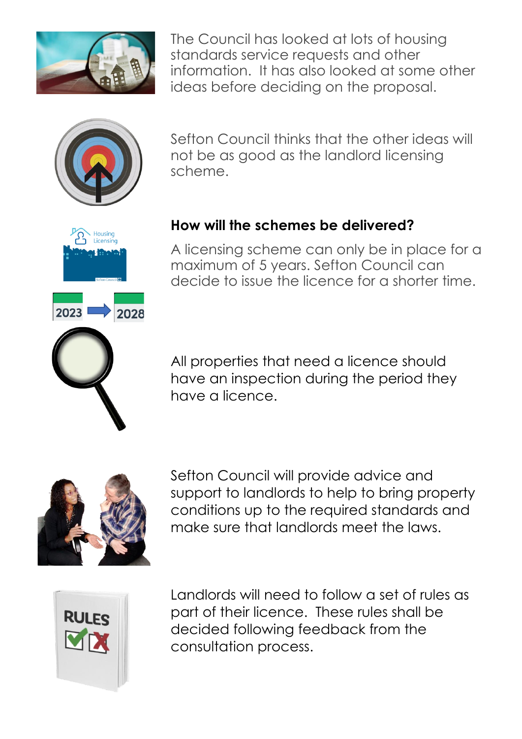

The Council has looked at lots of housing standards service requests and other information. It has also looked at some other ideas before deciding on the proposal.



Housing Licensing

2028

2023

Sefton Council thinks that the other ideas will not be as good as the landlord licensing scheme.



A licensing scheme can only be in place for a maximum of 5 years. Sefton Council can decide to issue the licence for a shorter time.

All properties that need a licence should have an inspection during the period they have a licence.



Sefton Council will provide advice and support to landlords to help to bring property conditions up to the required standards and make sure that landlords meet the laws.



Landlords will need to follow a set of rules as part of their licence. These rules shall be decided following feedback from the consultation process.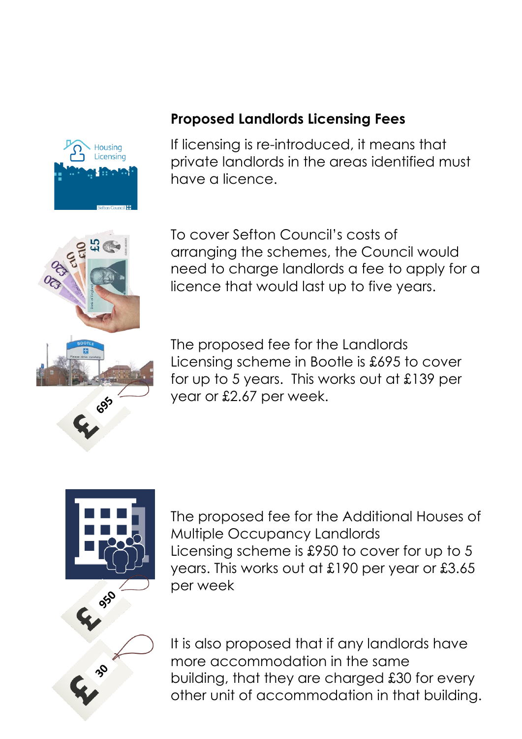

#### **Proposed Landlords Licensing Fees**

If licensing is re-introduced, it means that private landlords in the areas identified must have a licence.



To cover Sefton Council's costs of arranging the schemes, the Council would need to charge landlords a fee to apply for a licence that would last up to five years.

The proposed fee for the Landlords Licensing scheme in Bootle is £695 to cover for up to 5 years. This works out at £139 per year or £2.67 per week.



The proposed fee for the Additional Houses of Multiple Occupancy Landlords Licensing scheme is £950 to cover for up to 5 years. This works out at £190 per year or £3.65 per week

It is also proposed that if any landlords have more accommodation in the same building, that they are charged £30 for every other unit of accommodation in that building.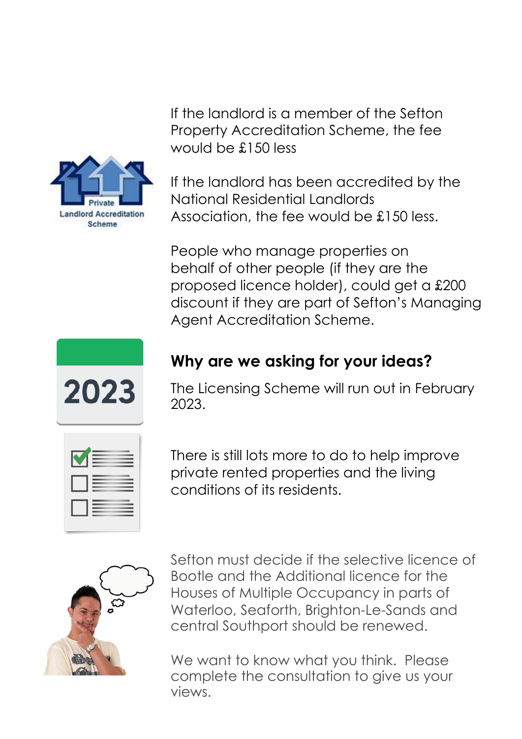

If the landlord is a member of the Sefton Property Accreditation Scheme, the fee would be £150 less

If the landlord has been accredited by the National Residential Landlords Association, the fee would be £150 less.

People who manage properties on behalf of other people (if they are the proposed licence holder), could get a £200 discount if they are part of Sefton's Managing Agent Accreditation Scheme.



## **Why are we asking for your ideas?**

The Licensing Scheme will run out in February 2023.



There is still lots more to do to help improve private rented properties and the living conditions of its residents.



Sefton must decide if the selective licence of Bootle and the Additional licence for the Houses of Multiple Occupancy in parts of Waterloo, Seaforth, Brighton-Le-Sands and central Southport should be renewed.

We want to know what you think. Please complete the consultation to give us your views.